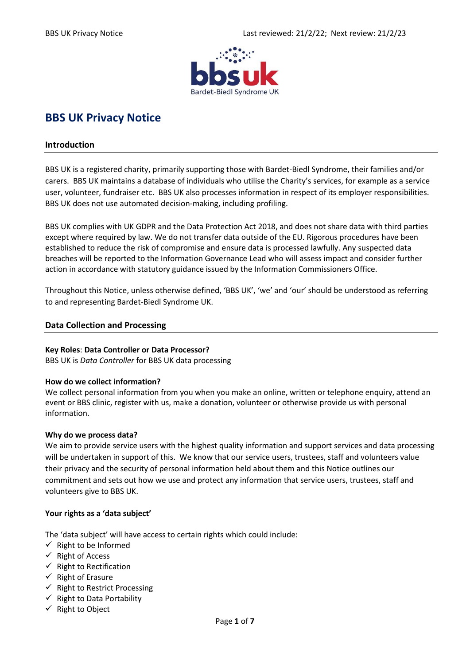

# **BBS UK Privacy Notice**

#### **Introduction**

BBS UK is a registered charity, primarily supporting those with Bardet-Biedl Syndrome, their families and/or carers. BBS UK maintains a database of individuals who utilise the Charity's services, for example as a service user, volunteer, fundraiser etc. BBS UK also processes information in respect of its employer responsibilities. BBS UK does not use automated decision-making, including profiling.

BBS UK complies with UK GDPR and the Data Protection Act 2018, and does not share data with third parties except where required by law. We do not transfer data outside of the EU. Rigorous procedures have been established to reduce the risk of compromise and ensure data is processed lawfully. Any suspected data breaches will be reported to the Information Governance Lead who will assess impact and consider further action in accordance with statutory guidance issued by the Information Commissioners Office.

Throughout this Notice, unless otherwise defined, 'BBS UK', 'we' and 'our' should be understood as referring to and representing Bardet-Biedl Syndrome UK.

#### **Data Collection and Processing**

#### **Key Roles**: **Data Controller or Data Processor?**

BBS UK is *Data Controller* for BBS UK data processing

## **How do we collect information?**

We collect personal information from you when you make an online, written or telephone enquiry, attend an event or BBS clinic, register with us, make a donation, volunteer or otherwise provide us with personal information.

#### **Why do we process data?**

We aim to provide service users with the highest quality information and support services and data processing will be undertaken in support of this. We know that our service users, trustees, staff and volunteers value their privacy and the security of personal information held about them and this Notice outlines our commitment and sets out how we use and protect any information that service users, trustees, staff and volunteers give to BBS UK.

## **Your rights as a 'data subject'**

The 'data subject' will have access to certain rights which could include:

- $\checkmark$  Right to be Informed
- $\checkmark$  Right of Access
- $\checkmark$  Right to Rectification
- $\checkmark$  Right of Erasure
- $\checkmark$  Right to Restrict Processing
- $\checkmark$  Right to Data Portability
- ✓ Right to Object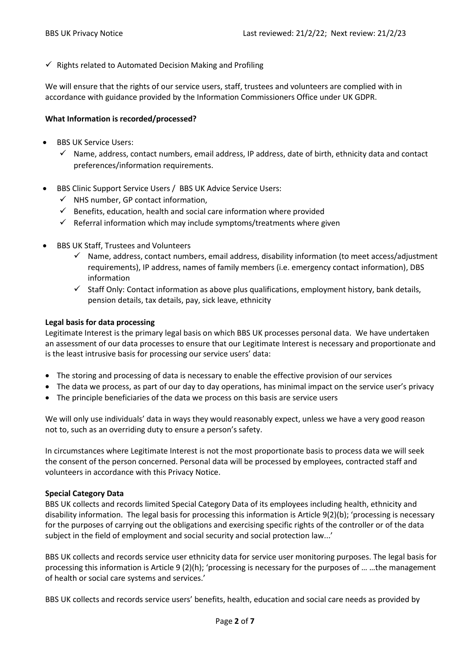$\checkmark$  Rights related to Automated Decision Making and Profiling

We will ensure that the rights of our service users, staff, trustees and volunteers are complied with in accordance with [guidance](https://ico.org.uk/for-organisations/guide-to-the-general-data-protection-regulation-gdpr/individual-rights/) provided by the Information Commissioners Office under UK GDPR.

## **What Information is recorded/processed?**

- BBS UK Service Users:
	- $\checkmark$  Name, address, contact numbers, email address, IP address, date of birth, ethnicity data and contact preferences/information requirements.
- BBS Clinic Support Service Users / BBS UK Advice Service Users:
	- $\checkmark$  NHS number, GP contact information,
	- $\checkmark$  Benefits, education, health and social care information where provided
	- $\checkmark$  Referral information which may include symptoms/treatments where given
- BBS UK Staff, Trustees and Volunteers
	- ✓ Name, address, contact numbers, email address, disability information (to meet access/adjustment requirements), IP address, names of family members (i.e. emergency contact information), DBS information
	- $\checkmark$  Staff Only: Contact information as above plus qualifications, employment history, bank details, pension details, tax details, pay, sick leave, ethnicity

## **Legal basis for data processing**

Legitimate Interest is the primary legal basis on which BBS UK processes personal data. We have undertaken an assessment of our data processes to ensure that our Legitimate Interest is necessary and proportionate and is the least intrusive basis for processing our service users' data:

- The storing and processing of data is necessary to enable the effective provision of our services
- The data we process, as part of our day to day operations, has minimal impact on the service user's privacy
- The principle beneficiaries of the data we process on this basis are service users

We will only use individuals' data in ways they would reasonably expect, unless we have a very good reason not to, such as an overriding duty to ensure a person's safety.

In circumstances where Legitimate Interest is not the most proportionate basis to process data we will seek the consent of the person concerned. Personal data will be processed by employees, contracted staff and volunteers in accordance with this Privacy Notice.

## **Special Category Data**

BBS UK collects and records limited Special Category Data of its employees including health, ethnicity and disability information. The legal basis for processing this information is Article 9(2)(b); 'processing is necessary for the purposes of carrying out the obligations and exercising specific rights of the controller or of the data subject in the field of employment and social security and social protection law...'

BBS UK collects and records service user ethnicity data for service user monitoring purposes. The legal basis for processing this information is Article 9 (2)(h); 'processing is necessary for the purposes of … …the management of health or social care systems and services.'

BBS UK collects and records service users' benefits, health, education and social care needs as provided by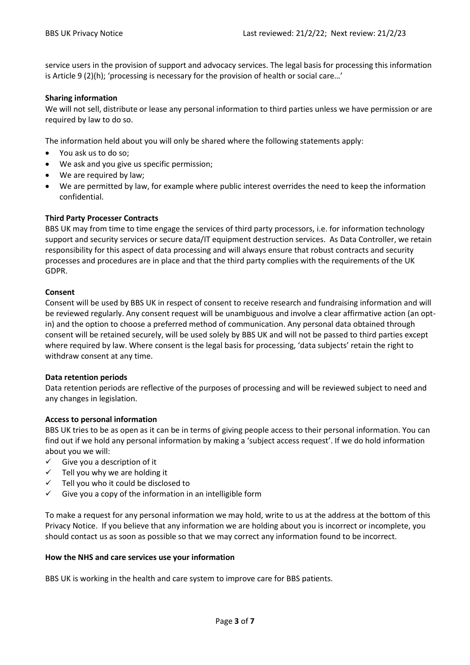service users in the provision of support and advocacy services. The legal basis for processing this information is Article 9 (2)(h); 'processing is necessary for the provision of health or social care…'

## **Sharing information**

We will not sell, distribute or lease any personal information to third parties unless we have permission or are required by law to do so.

The information held about you will only be shared where the following statements apply:

- You ask us to do so;
- We ask and you give us specific permission;
- We are required by law;
- We are permitted by law, for example where public interest overrides the need to keep the information confidential.

## **Third Party Processer Contracts**

BBS UK may from time to time engage the services of third party processors, i.e. for information technology support and security services or secure data/IT equipment destruction services. As Data Controller, we retain responsibility for this aspect of data processing and will always ensure that robust contracts and security processes and procedures are in place and that the third party complies with the requirements of the UK GDPR.

#### **Consent**

Consent will be used by BBS UK in respect of consent to receive research and fundraising information and will be reviewed regularly. Any consent request will be unambiguous and involve a clear affirmative action (an optin) and the option to choose a preferred method of communication. Any personal data obtained through consent will be retained securely, will be used solely by BBS UK and will not be passed to third parties except where required by law. Where consent is the legal basis for processing, 'data subjects' retain the right to withdraw consent at any time.

## **Data retention periods**

Data retention periods are reflective of the purposes of processing and will be reviewed subject to need and any changes in legislation.

## **Access to personal information**

BBS UK tries to be as open as it can be in terms of giving people access to their personal information. You can find out if we hold any personal information by making a 'subject access request'. If we do hold information about you we will:

- $\checkmark$  Give you a description of it
- $\checkmark$  Tell you why we are holding it
- ✓ Tell you who it could be disclosed to
- $\checkmark$  Give you a copy of the information in an intelligible form

To make a request for any personal information we may hold, write to us at the address at the bottom of this Privacy Notice. If you believe that any information we are holding about you is incorrect or incomplete, you should contact us as soon as possible so that we may correct any information found to be incorrect.

#### **How the NHS and care services use your information**

BBS UK is working in the health and care system to improve care for BBS patients.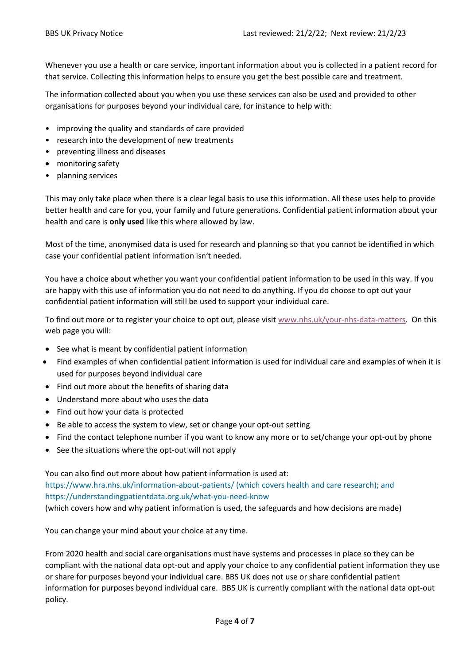Whenever you use a health or care service, important information about you is collected in a patient record for that service. Collecting this information helps to ensure you get the best possible care and treatment.

The information collected about you when you use these services can also be used and provided to other organisations for purposes beyond your individual care, for instance to help with:

- improving the quality and standards of care provided
- research into the development of new treatments
- preventing illness and diseases
- monitoring safety
- planning services

This may only take place when there is a clear legal basis to use this information. All these uses help to provide better health and care for you, your family and future generations. Confidential patient information about your health and care is **only used** like this where allowed by law.

Most of the time, anonymised data is used for research and planning so that you cannot be identified in which case your confidential patient information isn't needed.

You have a choice about whether you want your confidential patient information to be used in this way. If you are happy with this use of information you do not need to do anything. If you do choose to opt out your confidential patient information will still be used to support your individual care.

To find out more or to register your choice to opt out, please visit [www.nhs.uk/your-nhs-data-matters.](http://www.nhs.uk/your-nhs-data-matters) On this web page you will:

- See what is meant by confidential patient information
- Find examples of when confidential patient information is used for individual care and examples of when it is used for purposes beyond individual care
- Find out more about the benefits of sharing data
- Understand more about who uses the data
- Find out how your data is protected
- Be able to access the system to view, set or change your opt-out setting
- Find the contact telephone number if you want to know any more or to set/change your opt-out by phone
- See the situations where the opt-out will not apply

You can also find out more about how patient information is used at: <https://www.hra.nhs.uk/information-about-patients/> (which covers health and care research); and <https://understandingpatientdata.org.uk/what-you-need-know>

(which covers how and why patient information is used, the safeguards and how decisions are made)

You can change your mind about your choice at any time.

From 2020 health and social care organisations must have systems and processes in place so they can be compliant with the national data opt-out and apply your choice to any confidential patient information they use or share for purposes beyond your individual care. BBS UK does not use or share confidential patient information for purposes beyond individual care. BBS UK is currently compliant with the national data opt-out policy.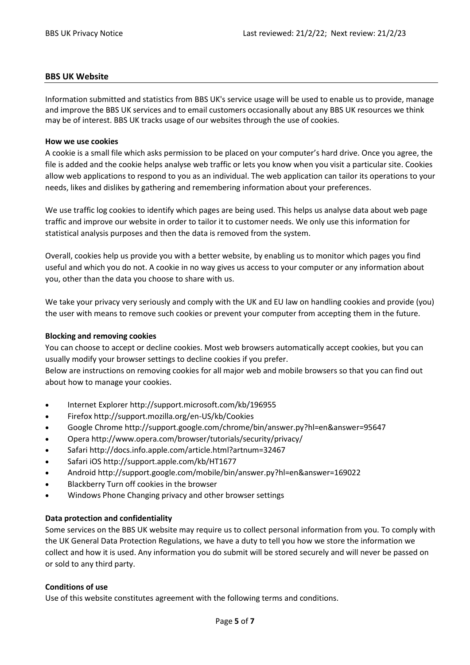## **BBS UK Website**

Information submitted and statistics from BBS UK's service usage will be used to enable us to provide, manage and improve the BBS UK services and to email customers occasionally about any BBS UK resources we think may be of interest. BBS UK tracks usage of our websites through the use of cookies.

#### **How we use cookies**

A cookie is a small file which asks permission to be placed on your computer's hard drive. Once you agree, the file is added and the cookie helps analyse web traffic or lets you know when you visit a particular site. Cookies allow web applications to respond to you as an individual. The web application can tailor its operations to your needs, likes and dislikes by gathering and remembering information about your preferences.

We use traffic log cookies to identify which pages are being used. This helps us analyse data about web page traffic and improve our website in order to tailor it to customer needs. We only use this information for statistical analysis purposes and then the data is removed from the system.

Overall, cookies help us provide you with a better website, by enabling us to monitor which pages you find useful and which you do not. A cookie in no way gives us access to your computer or any information about you, other than the data you choose to share with us.

We take your privacy very seriously and comply with the UK and EU law on handling cookies and provide (you) the user with means to remove such cookies or prevent your computer from accepting them in the future.

#### **Blocking and removing cookies**

You can choose to accept or decline cookies. Most web browsers automatically accept cookies, but you can usually modify your browser settings to decline cookies if you prefer.

Below are instructions on removing cookies for all major web and mobile browsers so that you can find out about how to manage your cookies.

- Internet Explore[r http://support.microsoft.com/kb/196955](http://support.microsoft.com/kb/196955)
- Firefox<http://support.mozilla.org/en-US/kb/Cookies>
- Google Chrome<http://support.google.com/chrome/bin/answer.py?hl=en&answer=95647>
- Opera<http://www.opera.com/browser/tutorials/security/privacy/>
- Safar[i http://docs.info.apple.com/article.html?artnum=32467](http://docs.info.apple.com/article.html?artnum=32467)
- Safari iOS<http://support.apple.com/kb/HT1677>
- Android<http://support.google.com/mobile/bin/answer.py?hl=en&answer=169022>
- Blackberry Turn off cookies in the browser
- Windows Phone Changing privacy and other browser settings

## **Data protection and confidentiality**

Some services on the BBS UK website may require us to collect personal information from you. To comply with the UK General Data Protection Regulations, we have a duty to tell you how we store the information we collect and how it is used. Any information you do submit will be stored securely and will never be passed on or sold to any third party.

## **Conditions of use**

Use of this website constitutes agreement with the following terms and conditions.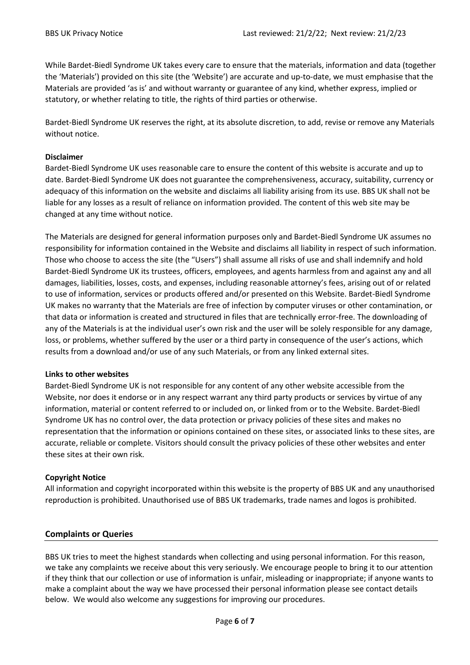While Bardet-Biedl Syndrome UK takes every care to ensure that the materials, information and data (together the 'Materials') provided on this site (the 'Website') are accurate and up-to-date, we must emphasise that the Materials are provided 'as is' and without warranty or guarantee of any kind, whether express, implied or statutory, or whether relating to title, the rights of third parties or otherwise.

Bardet-Biedl Syndrome UK reserves the right, at its absolute discretion, to add, revise or remove any Materials without notice.

## **Disclaimer**

Bardet-Biedl Syndrome UK uses reasonable care to ensure the content of this website is accurate and up to date. Bardet-Biedl Syndrome UK does not guarantee the comprehensiveness, accuracy, suitability, currency or adequacy of this information on the website and disclaims all liability arising from its use. BBS UK shall not be liable for any losses as a result of reliance on information provided. The content of this web site may be changed at any time without notice.

The Materials are designed for general information purposes only and Bardet-Biedl Syndrome UK assumes no responsibility for information contained in the Website and disclaims all liability in respect of such information. Those who choose to access the site (the "Users") shall assume all risks of use and shall indemnify and hold Bardet-Biedl Syndrome UK its trustees, officers, employees, and agents harmless from and against any and all damages, liabilities, losses, costs, and expenses, including reasonable attorney's fees, arising out of or related to use of information, services or products offered and/or presented on this Website. Bardet-Biedl Syndrome UK makes no warranty that the Materials are free of infection by computer viruses or other contamination, or that data or information is created and structured in files that are technically error-free. The downloading of any of the Materials is at the individual user's own risk and the user will be solely responsible for any damage, loss, or problems, whether suffered by the user or a third party in consequence of the user's actions, which results from a download and/or use of any such Materials, or from any linked external sites.

## **Links to other websites**

Bardet-Biedl Syndrome UK is not responsible for any content of any other website accessible from the Website, nor does it endorse or in any respect warrant any third party products or services by virtue of any information, material or content referred to or included on, or linked from or to the Website. Bardet-Biedl Syndrome UK has no control over, the data protection or privacy policies of these sites and makes no representation that the information or opinions contained on these sites, or associated links to these sites, are accurate, reliable or complete. Visitors should consult the privacy policies of these other websites and enter these sites at their own risk.

# **Copyright Notice**

All information and copyright incorporated within this website is the property of BBS UK and any unauthorised reproduction is prohibited. Unauthorised use of BBS UK trademarks, trade names and logos is prohibited.

# **Complaints or Queries**

BBS UK tries to meet the highest standards when collecting and using personal information. For this reason, we take any complaints we receive about this very seriously. We encourage people to bring it to our attention if they think that our collection or use of information is unfair, misleading or inappropriate; if anyone wants to make a complaint about the way we have processed their personal information please see contact details below. We would also welcome any suggestions for improving our procedures.